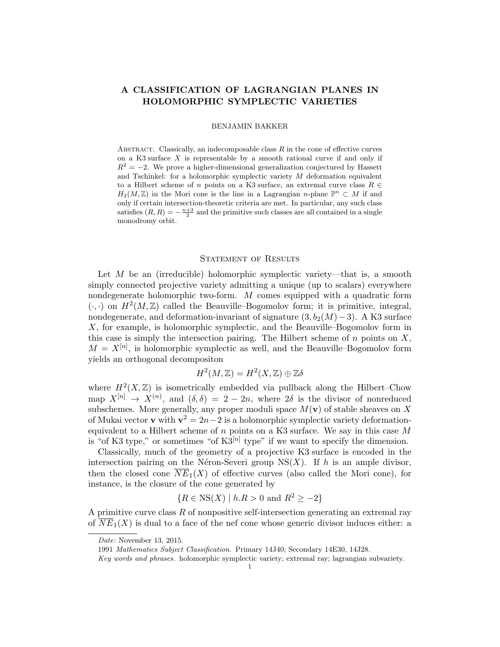# <span id="page-0-0"></span>A CLASSIFICATION OF LAGRANGIAN PLANES IN HOLOMORPHIC SYMPLECTIC VARIETIES

# BENJAMIN BAKKER

ABSTRACT. Classically, an indecomposable class  $R$  in the cone of effective curves on a K3 surface  $X$  is representable by a smooth rational curve if and only if  $R^2 = -2$ . We prove a higher-dimensional generalization conjectured by Hassett and Tschinkel: for a holomorphic symplectic variety  $M$  deformation equivalent to a Hilbert scheme of n points on a K3 surface, an extremal curve class  $R \in$  $H_2(M, \mathbb{Z})$  in the Mori cone is the line in a Lagrangian n-plane  $\mathbb{P}^n \subset M$  if and only if certain intersection-theoretic criteria are met. In particular, any such class satisfies  $(R, R) = -\frac{n+3}{2}$  and the primitive such classes are all contained in a single monodromy orbit.

## STATEMENT OF RESULTS

Let  $M$  be an (irreducible) holomorphic symplectic variety—that is, a smooth simply connected projective variety admitting a unique (up to scalars) everywhere nondegenerate holomorphic two-form. M comes equipped with a quadratic form  $(\cdot, \cdot)$  on  $H^2(M, \mathbb{Z})$  called the Beauville–Bogomolov form; it is primitive, integral, nondegenerate, and deformation-invariant of signature  $(3, b_2(M)-3)$ . A K3 surface X, for example, is holomorphic symplectic, and the Beauville–Bogomolov form in this case is simply the intersection pairing. The Hilbert scheme of  $n$  points on  $X$ ,  $M = X^{[n]}$ , is holomorphic symplectic as well, and the Beauville–Bogomolov form yields an orthogonal decompositon

$$
H^2(M,\mathbb{Z})=H^2(X,\mathbb{Z})\oplus \mathbb{Z}\delta
$$

where  $H^2(X,\mathbb{Z})$  is isometrically embedded via pullback along the Hilbert–Chow map  $X^{[n]} \to X^{(n)}$ , and  $(\delta, \delta) = 2 - 2n$ , where  $2\delta$  is the divisor of nonreduced subschemes. More generally, any proper moduli space  $M(\mathbf{v})$  of stable sheaves on X of Mukai vector **v** with  $v^2 = 2n - 2$  is a holomorphic symplectic variety deformationequivalent to a Hilbert scheme of  $n$  points on a K3 surface. We say in this case  $M$ is "of K3 type," or sometimes "of  $K3^{[n]}$  type" if we want to specify the dimension.

Classically, much of the geometry of a projective K3 surface is encoded in the intersection pairing on the Néron-Severi group  $NS(X)$ . If h is an ample divisor, then the closed cone  $\overline{NE}_1(X)$  of effective curves (also called the Mori cone), for instance, is the closure of the cone generated by

$$
{R \in NS(X) | h.R > 0 \text{ and } R^2 \ge -2}
$$

A primitive curve class R of nonpositive self-intersection generating an extremal ray of  $\overline{NE}_1(X)$  is dual to a face of the nef cone whose generic divisor induces either: a

Date: November 13, 2015.

<sup>1991</sup> Mathematics Subject Classification. Primary 14J40; Secondary 14E30, 14J28.

Key words and phrases. holomorphic symplectic variety; extremal ray; lagrangian subvariety.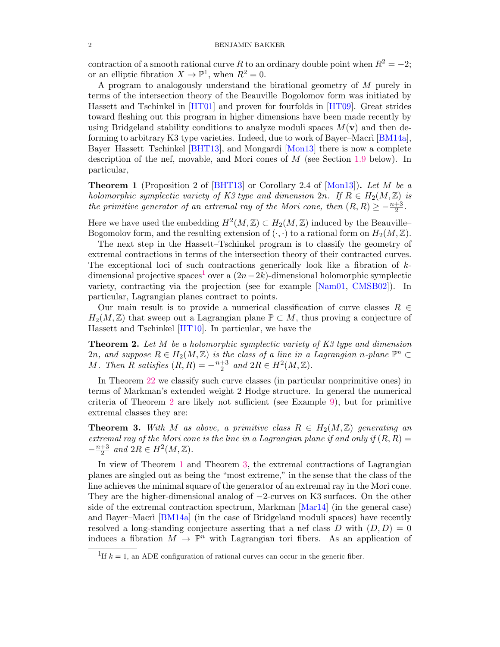contraction of a smooth rational curve R to an ordinary double point when  $R^2 = -2$ ; or an elliptic fibration  $X \to \mathbb{P}^1$ , when  $R^2 = 0$ .

A program to analogously understand the birational geometry of M purely in terms of the intersection theory of the Beauville–Bogolomov form was initiated by Hassett and Tschinkel in [\[HT01\]](#page-17-0) and proven for fourfolds in [\[HT09\]](#page-17-1). Great strides toward fleshing out this program in higher dimensions have been made recently by using Bridgeland stability conditions to analyze moduli spaces  $M(\mathbf{v})$  and then deforming to arbitrary K3 type varieties. Indeed, due to work of Bayer–Macri  $[BM14a]$ , Bayer–Hassett–Tschinkel [\[BHT13\]](#page-16-1), and Mongardi [\[Mon13\]](#page-17-2) there is now a complete description of the nef, movable, and Mori cones of M (see Section [1.9](#page-5-0) below). In particular,

<span id="page-1-2"></span>**Theorem 1** (Proposition 2 of [\[BHT13\]](#page-16-1) or Corollary 2.4 of [\[Mon13\]](#page-17-2)). Let M be a holomorphic symplectic variety of K3 type and dimension  $2n$ . If  $R \in H_2(M, \mathbb{Z})$  is the primitive generator of an extremal ray of the Mori cone, then  $(R, R) \ge -\frac{n+3}{2}$ .

Here we have used the embedding  $H^2(M, \mathbb{Z}) \subset H_2(M, \mathbb{Z})$  induced by the Beauville– Bogomolov form, and the resulting extension of  $(\cdot, \cdot)$  to a rational form on  $H_2(M, \mathbb{Z})$ .

The next step in the Hassett–Tschinkel program is to classify the geometry of extremal contractions in terms of the intersection theory of their contracted curves. The exceptional loci of such contractions generically look like a fibration of  $k$ -dimensional projective spaces<sup>[1](#page-1-0)</sup> over a  $(2n-2k)$ -dimensional holomorphic symplectic variety, contracting via the projection (see for example [\[Nam01,](#page-17-3) [CMSB02\]](#page-16-2)). In particular, Lagrangian planes contract to points.

Our main result is to provide a numerical classification of curve classes  $R \in$  $H_2(M, \mathbb{Z})$  that sweep out a Lagrangian plane  $\mathbb{P} \subset M$ , thus proving a conjecture of Hassett and Tschinkel [\[HT10\]](#page-17-4). In particular, we have the

<span id="page-1-1"></span>**Theorem 2.** Let M be a holomorphic symplectic variety of  $K3$  type and dimension 2n, and suppose  $R \in H_2(M, \mathbb{Z})$  is the class of a line in a Lagrangian n-plane  $\mathbb{P}^n \subset$ M. Then R satisfies  $(R, R) = -\frac{n+3}{2}$  $\frac{+3}{2}$  and  $2R \in H^2(M, \mathbb{Z})$ .

In Theorem [22](#page-14-0) we classify such curve classes (in particular nonprimitive ones) in terms of Markman's extended weight 2 Hodge structure. In general the numerical criteria of Theorem [2](#page-1-1) are likely not sufficient (see Example [9\)](#page-0-0), but for primitive extremal classes they are:

<span id="page-1-3"></span>**Theorem 3.** With M as above, a primitive class  $R \in H_2(M, \mathbb{Z})$  generating an extremal ray of the Mori cone is the line in a Lagrangian plane if and only if  $(R, R)$  $-\frac{n+3}{2}$  $\frac{+3}{2}$  and  $2R \in H^2(M, \mathbb{Z})$ .

In view of Theorem [1](#page-1-2) and Theorem [3,](#page-1-3) the extremal contractions of Lagrangian planes are singled out as being the "most extreme," in the sense that the class of the line achieves the minimal square of the generator of an extremal ray in the Mori cone. They are the higher-dimensional analog of −2-curves on K3 surfaces. On the other side of the extremal contraction spectrum, Markman [\[Mar14\]](#page-17-5) (in the general case) and Bayer–Macri  $[BM14a]$  (in the case of Bridgeland moduli spaces) have recently resolved a long-standing conjecture asserting that a nef class D with  $(D, D) = 0$ induces a fibration  $M \to \mathbb{P}^n$  with Lagrangian tori fibers. As an application of

<span id="page-1-0"></span><sup>&</sup>lt;sup>1</sup>If  $k = 1$ , an ADE configuration of rational curves can occur in the generic fiber.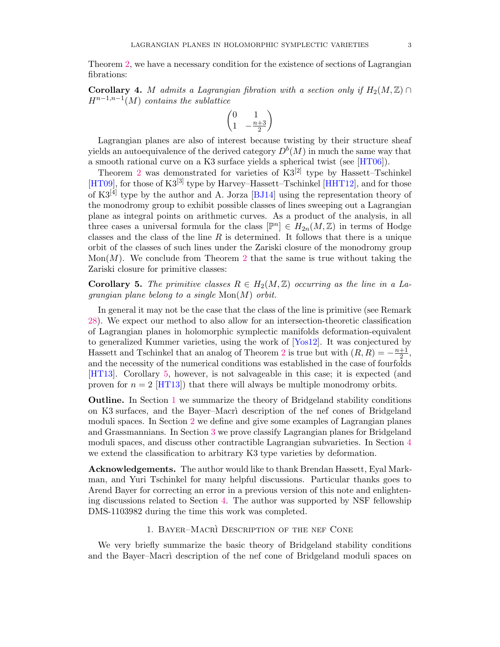Theorem [2,](#page-1-1) we have a necessary condition for the existence of sections of Lagrangian fibrations:

Corollary 4. M admits a Lagrangian fibration with a section only if  $H_2(M, \mathbb{Z}) \cap$  $H^{n-1,n-1}(M)$  contains the sublattice

$$
\begin{pmatrix} 0 & 1 \ 1 & -\frac{n+3}{2} \end{pmatrix}
$$

Lagrangian planes are also of interest because twisting by their structure sheaf yields an autoequivalence of the derived category  $D^b(M)$  in much the same way that a smooth rational curve on a K3 surface yields a spherical twist (see [\[HT06\]](#page-17-6)).

Theorem [2](#page-1-1) was demonstrated for varieties of  $K3^{[2]}$  type by Hassett–Tschinkel [\[HT09\]](#page-17-1), for those of  $K3^{[3]}$  type by Harvey–Hassett–Tschinkel [\[HHT12\]](#page-17-7), and for those of  $K3^{[4]}$  type by the author and A. Jorza [\[BJ14\]](#page-16-3) using the representation theory of the monodromy group to exhibit possible classes of lines sweeping out a Lagrangian plane as integral points on arithmetic curves. As a product of the analysis, in all three cases a universal formula for the class  $[\mathbb{P}^n] \in H_{2n}(M,\mathbb{Z})$  in terms of Hodge classes and the class of the line  $R$  is determined. It follows that there is a unique orbit of the classes of such lines under the Zariski closure of the monodromy group Mon $(M)$ . We conclude from Theorem [2](#page-1-1) that the same is true without taking the Zariski closure for primitive classes:

<span id="page-2-0"></span>**Corollary 5.** The primitive classes  $R \in H_2(M, \mathbb{Z})$  occurring as the line in a Lagrangian plane belong to a single  $Mon(M)$  orbit.

In general it may not be the case that the class of the line is primitive (see Remark [28\)](#page-15-0). We expect our method to also allow for an intersection-theoretic classification of Lagrangian planes in holomorphic symplectic manifolds deformation-equivalent to generalized Kummer varieties, using the work of [\[Yos12\]](#page-17-8). It was conjectured by Hassett and Tschinkel that an analog of Theorem [2](#page-1-1) is true but with  $(R, R) = -\frac{n+1}{2}$  $\frac{+1}{2}$ , and the necessity of the numerical conditions was established in the case of fourfolds [\[HT13\]](#page-17-9). Corollary [5,](#page-2-0) however, is not salvageable in this case; it is expected (and proven for  $n = 2$  [\[HT13\]](#page-17-9)) that there will always be multiple monodromy orbits.

Outline. In Section [1](#page-2-1) we summarize the theory of Bridgeland stability conditions on K3 surfaces, and the Bayer–Macri description of the nef cones of Bridgeland moduli spaces. In Section [2](#page-6-0) we define and give some examples of Lagrangian planes and Grassmannians. In Section [3](#page-9-0) we prove classify Lagrangian planes for Bridgeland moduli spaces, and discuss other contractible Lagrangian subvarieties. In Section [4](#page-13-0) we extend the classification to arbitrary K3 type varieties by deformation.

Acknowledgements. The author would like to thank Brendan Hassett, Eyal Markman, and Yuri Tschinkel for many helpful discussions. Particular thanks goes to Arend Bayer for correcting an error in a previous version of this note and enlightening discussions related to Section [4.](#page-13-0) The author was supported by NSF fellowship DMS-1103982 during the time this work was completed.

# 1. BAYER–MACRI DESCRIPTION OF THE NEF CONE

<span id="page-2-1"></span>We very briefly summarize the basic theory of Bridgeland stability conditions and the Bayer–Macri description of the nef cone of Bridgeland moduli spaces on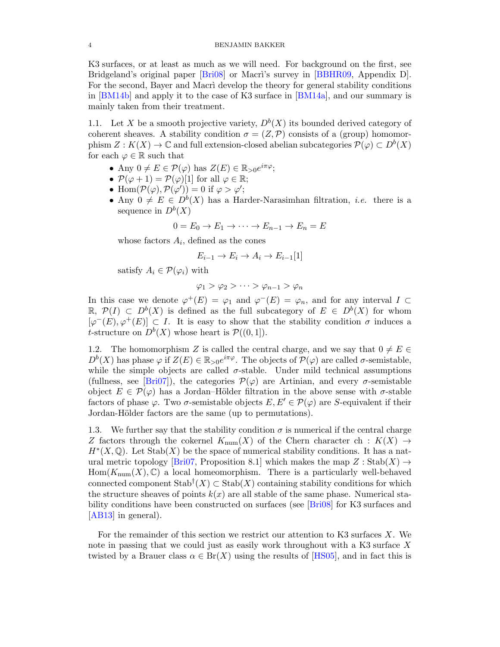K3 surfaces, or at least as much as we will need. For background on the first, see Bridgeland's original paper [\[Bri08\]](#page-16-4) or Macri's survey in [\[BBHR09,](#page-16-5) Appendix D]. For the second, Bayer and Macri develop the theory for general stability conditions in [\[BM14b\]](#page-16-6) and apply it to the case of K3 surface in [\[BM14a\]](#page-16-0), and our summary is mainly taken from their treatment.

1.1. Let X be a smooth projective variety,  $D^b(X)$  its bounded derived category of coherent sheaves. A stability condition  $\sigma = (Z, \mathcal{P})$  consists of a (group) homomorphism  $Z: K(X) \to \mathbb{C}$  and full extension-closed abelian subcategories  $\mathcal{P}(\varphi) \subset D^b(X)$ for each  $\varphi \in \mathbb{R}$  such that

- Any  $0 \neq E \in \mathcal{P}(\varphi)$  has  $Z(E) \in \mathbb{R}_{>0}e^{i\pi\varphi}$ ;
- $\mathcal{P}(\varphi + 1) = \mathcal{P}(\varphi)[1]$  for all  $\varphi \in \mathbb{R}$ ;
- Hom $(\mathcal{P}(\varphi), \mathcal{P}(\varphi')) = 0$  if  $\varphi > \varphi'$ ;
- Any  $0 \neq E \in D^b(X)$  has a Harder-Narasimhan filtration, *i.e.* there is a sequence in  $D^b(X)$

$$
0 = E_0 \to E_1 \to \cdots \to E_{n-1} \to E_n = E
$$

whose factors  $A_i$ , defined as the cones

$$
E_{i-1} \to E_i \to A_i \to E_{i-1}[1]
$$

satisfy  $A_i \in \mathcal{P}(\varphi_i)$  with

$$
\varphi_1 > \varphi_2 > \cdots > \varphi_{n-1} > \varphi_n
$$

In this case we denote  $\varphi^+(E) = \varphi_1$  and  $\varphi^-(E) = \varphi_n$ , and for any interval  $I \subset$ R,  $\mathcal{P}(I)$  ⊂  $D^b(X)$  is defined as the full subcategory of  $E \in D^b(X)$  for whom  $[\varphi^-(E), \varphi^+(E)] \subset I$ . It is easy to show that the stability condition  $\sigma$  induces a *t*-structure on  $D^b(X)$  whose heart is  $\mathcal{P}((0,1])$ .

1.2. The homomorphism Z is called the central charge, and we say that  $0 \neq E \in$  $D^b(X)$  has phase  $\varphi$  if  $Z(E) \in \mathbb{R}_{>0}e^{i\pi\varphi}$ . The objects of  $\mathcal{P}(\varphi)$  are called  $\sigma$ -semistable, while the simple objects are called  $\sigma$ -stable. Under mild technical assumptions (fullness, see [\[Bri07\]](#page-16-7)), the categories  $\mathcal{P}(\varphi)$  are Artinian, and every  $\sigma$ -semistable object  $E \in \mathcal{P}(\varphi)$  has a Jordan–Hölder filtration in the above sense with  $\sigma$ -stable factors of phase  $\varphi$ . Two  $\sigma$ -semistable objects  $E, E' \in \mathcal{P}(\varphi)$  are S-equivalent if their Jordan-Hölder factors are the same (up to permutations).

1.3. We further say that the stability condition  $\sigma$  is numerical if the central charge Z factors through the cokernel  $K_{\text{num}}(X)$  of the Chern character ch :  $K(X) \rightarrow$  $H^*(X,\mathbb{Q})$ . Let  $\text{Stab}(X)$  be the space of numerical stability conditions. It has a nat-ural metric topology [\[Bri07,](#page-16-7) Proposition 8.1] which makes the map  $Z : \text{Stab}(X) \to$  $Hom(K_{num}(X), \mathbb{C})$  a local homeomorphism. There is a particularly well-behaved connected component  $\text{Stab}^{\dagger}(X) \subset \text{Stab}(X)$  containing stability conditions for which the structure sheaves of points  $k(x)$  are all stable of the same phase. Numerical stability conditions have been constructed on surfaces (see [\[Bri08\]](#page-16-4) for K3 surfaces and [\[AB13\]](#page-16-8) in general).

For the remainder of this section we restrict our attention to K3 surfaces X. We note in passing that we could just as easily work throughout with a K3 surface X twisted by a Brauer class  $\alpha \in Br(X)$  using the results of [\[HS05\]](#page-17-10), and in fact this is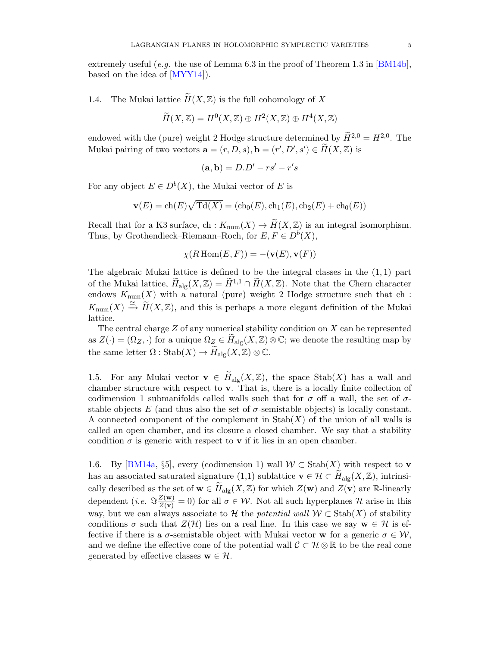extremely useful (e.g. the use of Lemma 6.3 in the proof of Theorem 1.3 in [\[BM14b\]](#page-16-6), based on the idea of [\[MYY14\]](#page-17-11)).

<span id="page-4-2"></span>1.4. The Mukai lattice  $\widetilde{H}(X,\mathbb{Z})$  is the full cohomology of X

$$
\widetilde{H}(X,\mathbb{Z}) = H^0(X,\mathbb{Z}) \oplus H^2(X,\mathbb{Z}) \oplus H^4(X,\mathbb{Z})
$$

endowed with the (pure) weight 2 Hodge structure determined by  $\widetilde{H}^{2,0} = H^{2,0}$ . The Mukai pairing of two vectors  $\mathbf{a} = (r, D, s), \mathbf{b} = (r', D', s') \in \widetilde{H}(X, \mathbb{Z})$  is

$$
(\mathbf{a}, \mathbf{b}) = D \cdot D' - rs' - r's
$$

For any object  $E \in D^b(X)$ , the Mukai vector of E is

$$
\mathbf{v}(E) = \mathbf{ch}(E)\sqrt{\mathbf{Td}(X)} = (\mathbf{ch}_0(E), \mathbf{ch}_1(E), \mathbf{ch}_2(E) + \mathbf{ch}_0(E))
$$

Recall that for a K3 surface, ch :  $K_{\text{num}}(X) \to \widetilde{H}(X, \mathbb{Z})$  is an integral isomorphism. Thus, by Grothendieck–Riemann–Roch, for  $E, F \in D^b(X)$ ,

$$
\chi(R\operatorname{Hom}(E,F)) = -(\mathbf{v}(E), \mathbf{v}(F))
$$

The algebraic Mukai lattice is defined to be the integral classes in the  $(1,1)$  part of the Mukai lattice,  $\widetilde{H}_{\text{alg}}(X,\mathbb{Z}) = \widetilde{H}^{1,1} \cap \widetilde{H}(X,\mathbb{Z})$ . Note that the Chern character endows  $K_{\text{num}}(X)$  with a natural (pure) weight 2 Hodge structure such that ch :  $K_{\text{num}}(X) \stackrel{\cong}{\to} \widetilde{H}(X,\mathbb{Z})$ , and this is perhaps a more elegant definition of the Mukai lattice.

The central charge  $Z$  of any numerical stability condition on  $X$  can be represented as  $Z(\cdot) = (\Omega_Z, \cdot)$  for a unique  $\Omega_Z \in H_{\text{alg}}(X, \mathbb{Z}) \otimes \mathbb{C}$ ; we denote the resulting map by the same letter  $\Omega$  : Stab $(X) \to H_{\text{alg}}(X, \mathbb{Z}) \otimes \mathbb{C}$ .

<span id="page-4-0"></span>1.5. For any Mukai vector  $\mathbf{v} \in \widetilde{H}_{\text{alg}}(X,\mathbb{Z})$ , the space  $\text{Stab}(X)$  has a wall and chamber structure with respect to  $v$ . That is, there is a locally finite collection of codimension 1 submanifolds called walls such that for  $\sigma$  off a wall, the set of  $\sigma$ stable objects E (and thus also the set of  $\sigma$ -semistable objects) is locally constant. A connected component of the complement in  $\text{Stab}(X)$  of the union of all walls is called an open chamber, and its closure a closed chamber. We say that a stability condition  $\sigma$  is generic with respect to **v** if it lies in an open chamber.

<span id="page-4-1"></span>1.6. By [\[BM14a,](#page-16-0) §5], every (codimension 1) wall  $W \subset$  Stab $(X)$  with respect to **v** has an associated saturated signature (1,1) sublattice  $\mathbf{v} \in \mathcal{H} \subset H_{\text{alg}}(X,\mathbb{Z})$ , intrinsically described as the set of  $\mathbf{w} \in H_{\text{alg}}(X, \mathbb{Z})$  for which  $Z(\mathbf{w})$  and  $Z(\mathbf{v})$  are R-linearly dependent (*i.e.*  $\Im \frac{Z(\mathbf{w})}{Z(\mathbf{v})} = 0$ ) for all  $\sigma \in \mathcal{W}$ . Not all such hyperplanes H arise in this way, but we can always associate to H the potential wall  $W \subset \text{Stab}(X)$  of stability conditions  $\sigma$  such that  $Z(\mathcal{H})$  lies on a real line. In this case we say  $\mathbf{w} \in \mathcal{H}$  is effective if there is a  $\sigma$ -semistable object with Mukai vector **w** for a generic  $\sigma \in \mathcal{W}$ , and we define the effective cone of the potential wall  $\mathcal{C} \subset \mathcal{H} \otimes \mathbb{R}$  to be the real cone generated by effective classes  $\mathbf{w} \in \mathcal{H}$ .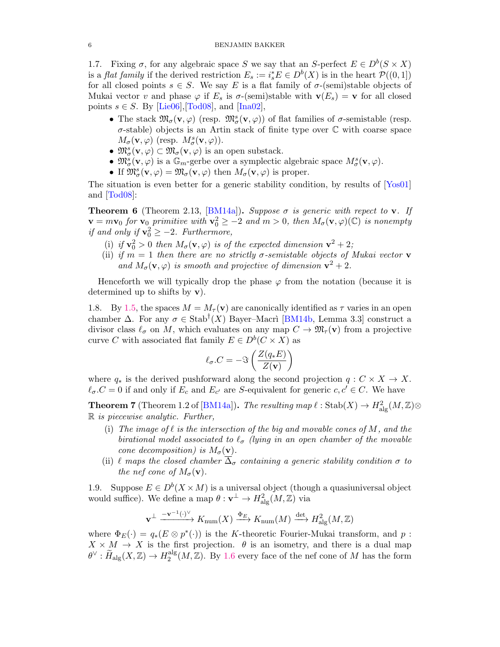1.7. Fixing  $\sigma$ , for any algebraic space S we say that an S-perfect  $E \in D^b(S \times X)$ is a *flat family* if the derived restriction  $E_s := i_s^* E \in D^b(X)$  is in the heart  $\mathcal{P}((0,1])$ for all closed points  $s \in S$ . We say E is a flat family of  $\sigma$ -(semi)stable objects of Mukai vector v and phase  $\varphi$  if  $E_s$  is  $\sigma$ -(semi)stable with  $\mathbf{v}(E_s) = \mathbf{v}$  for all closed points  $s \in S$ . By [\[Lie06\]](#page-17-12), [\[Tod08\]](#page-17-13), and [\[Ina02\]](#page-17-14),

- The stack  $\mathfrak{M}_{\sigma}(\mathbf{v},\varphi)$  (resp.  $\mathfrak{M}_{\sigma}^{s}(\mathbf{v},\varphi)$ ) of flat families of  $\sigma$ -semistable (resp.  $\sigma$ -stable) objects is an Artin stack of finite type over  $\mathbb C$  with coarse space  $M_{\sigma}(\mathbf{v},\varphi)$  (resp.  $M_{\sigma}^{s}(\mathbf{v},\varphi)$ ).
- $\mathfrak{M}^s_{\sigma}(\mathbf{v}, \varphi) \subset \mathfrak{M}_{\sigma}(\mathbf{v}, \varphi)$  is an open substack.
- $\mathfrak{M}^s_{\sigma}(\mathbf{v},\varphi)$  is a  $\mathbb{G}_m$ -gerbe over a symplectic algebraic space  $M^s_{\sigma}(\mathbf{v},\varphi)$ .
- If  $\mathfrak{M}^s_{\sigma}(\mathbf{v},\varphi) = \mathfrak{M}_{\sigma}(\mathbf{v},\varphi)$  then  $M_{\sigma}(\mathbf{v},\varphi)$  is proper.

The situation is even better for a generic stability condition, by results of [\[Yos01\]](#page-17-15) and [\[Tod08\]](#page-17-13):

**Theorem 6** (Theorem 2.13, [\[BM14a\]](#page-16-0)). Suppose  $\sigma$  is generic with repect to **v**. If  $\mathbf{v} = m\mathbf{v}_0$  for  $\mathbf{v}_0$  primitive with  $\mathbf{v}_0^2 \geq -2$  and  $m > 0$ , then  $M_{\sigma}(\mathbf{v}, \varphi)(\mathbb{C})$  is nonempty if and only if  $\mathbf{v}_0^2 \ge -2$ . Furthermore,

- (i) if  $\mathbf{v}_0^2 > 0$  then  $M_{\sigma}(\mathbf{v}, \varphi)$  is of the expected dimension  $\mathbf{v}^2 + 2$ ;
- (ii) if  $m = 1$  then there are no strictly  $\sigma$ -semistable objects of Mukai vector **v** and  $M_{\sigma}(\mathbf{v}, \varphi)$  is smooth and projective of dimension  $\mathbf{v}^2 + 2$ .

Henceforth we will typically drop the phase  $\varphi$  from the notation (because it is determined up to shifts by v).

1.8. By [1.5,](#page-4-0) the spaces  $M = M_\tau(\mathbf{v})$  are canonically identified as  $\tau$  varies in an open chamber  $\Delta$ . For any  $\sigma \in \text{Stab}^{\dagger}(X)$  Bayer–Macri [\[BM14b,](#page-16-6) Lemma 3.3] construct a divisor class  $\ell_{\sigma}$  on M, which evaluates on any map  $C \to \mathfrak{M}_{\tau}(\mathbf{v})$  from a projective curve C with associated flat family  $E \in D^b(C \times X)$  as

$$
\ell_{\sigma}.C = -\Im\left(\frac{Z(q_{*}E)}{Z(\mathbf{v})}\right)
$$

where  $q_*$  is the derived pushforward along the second projection  $q: C \times X \to X$ .  $\ell_{\sigma}.C = 0$  if and only if  $E_c$  and  $E_{c'}$  are S-equivalent for generic  $c, c' \in C$ . We have

**Theorem 7** (Theorem 1.2 of [\[BM14a\]](#page-16-0)). The resulting map  $\ell : \text{Stab}(X) \to H^2_{\text{alg}}(M,\mathbb{Z})\otimes$  $\mathbb R$  is piecewise analytic. Further,

- (i) The image of  $\ell$  is the intersection of the big and movable cones of M, and the birational model associated to  $\ell_{\sigma}$  (lying in an open chamber of the movable cone decomposition) is  $M_{\sigma}(\mathbf{v})$ .
- (ii)  $\ell$  maps the closed chamber  $\overline{\Delta}_{\sigma}$  containing a generic stability condition  $\sigma$  to the nef cone of  $M_{\sigma}(\mathbf{v})$ .

<span id="page-5-0"></span>1.9. Suppose  $E \in D^b(X \times M)$  is a universal object (though a quasiuniversal object would suffice). We define a map  $\theta: \mathbf{v}^{\perp} \to H^2_{\text{alg}}(M, \mathbb{Z})$  via

$$
\mathbf{v}^{\perp} \xrightarrow{-\mathbf{v}^{-1}(\cdot)^{\vee}} K_{\text{num}}(X) \xrightarrow{\Phi_E} K_{\text{num}}(M) \xrightarrow{\det} H^2_{\text{alg}}(M, \mathbb{Z})
$$

where  $\Phi_E(\cdot) = q_*(E \otimes p^*(\cdot))$  is the K-theoretic Fourier-Mukai transform, and p:  $X \times M \to X$  is the first projection.  $\theta$  is an isometry, and there is a dual map  $\theta^{\vee} : \widetilde{H}_{\mathrm{alg}}(X,\mathbb{Z}) \to H^{\mathrm{alg}}_2$  $2^{\text{alg}}(M,\mathbb{Z})$ . By [1.6](#page-4-1) every face of the nef cone of M has the form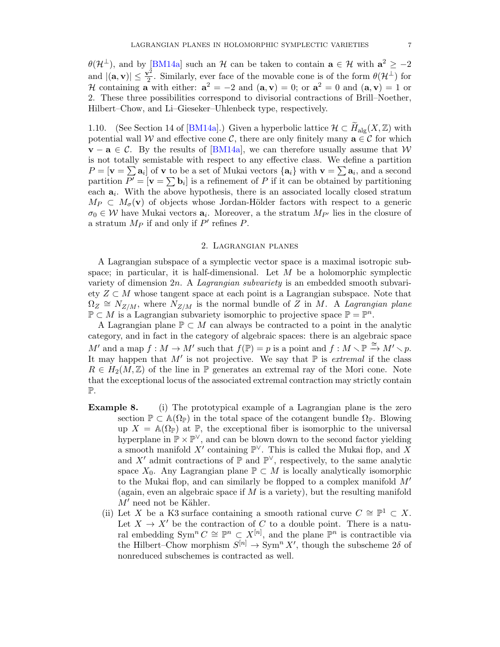$\theta(\mathcal{H}^{\perp})$ , and by [\[BM14a\]](#page-16-0) such an H can be taken to contain  $\mathbf{a} \in \mathcal{H}$  with  $\mathbf{a}^2 \ge -2$ and  $|(\mathbf{a}, \mathbf{v})| \leq \frac{\mathbf{v}^2}{2}$  $\frac{\partial^2}{\partial x^2}$ . Similarly, ever face of the movable cone is of the form  $\theta(\mathcal{H}^{\perp})$  for H containing **a** with either:  $a^2 = -2$  and  $(a, v) = 0$ ; or  $a^2 = 0$  and  $(a, v) = 1$  or 2. These three possibilities correspond to divisorial contractions of Brill–Noether, Hilbert–Chow, and Li–Gieseker–Uhlenbeck type, respectively.

1.10. (See Section 14 of [\[BM14a\]](#page-16-0).) Given a hyperbolic lattice  $\mathcal{H} \subset \widetilde{H}_{\text{alg}}(X,\mathbb{Z})$  with potential wall W and effective cone C, there are only finitely many  $a \in \mathcal{C}$  for which  $\mathbf{v} - \mathbf{a} \in \mathcal{C}$ . By the results of [\[BM14a\]](#page-16-0), we can therefore usually assume that W is not totally semistable with respect to any effective class. We define a partition  $P = [\mathbf{v} = \sum \mathbf{a}_i]$  of  $\mathbf{v}$  to be a set of Mukai vectors  $\{\mathbf{a}_i\}$  with  $\mathbf{v} = \sum \mathbf{a}_i$ , and a second partition  $P' = [\mathbf{v} = \sum \mathbf{b}_i]$  is a refinement of P if it can be obtained by partitioning each  $a_i$ . With the above hypothesis, there is an associated locally closed stratum  $M_P \subset M_{\sigma}(\mathbf{v})$  of objects whose Jordan-Hölder factors with respect to a generic  $\sigma_0 \in \mathcal{W}$  have Mukai vectors  $a_i$ . Moreover, a the stratum  $M_{P'}$  lies in the closure of a stratum  $M_P$  if and only if  $P'$  refines  $P$ .

#### 2. Lagrangian planes

<span id="page-6-0"></span>A Lagrangian subspace of a symplectic vector space is a maximal isotropic subspace; in particular, it is half-dimensional. Let  $M$  be a holomorphic symplectic variety of dimension  $2n$ . A *Lagrangian subvariety* is an embedded smooth subvariety  $Z \subset M$  whose tangent space at each point is a Lagrangian subspace. Note that  $\Omega_Z \cong N_{Z/M}$ , where  $\widetilde{N}_{Z/M}$  is the normal bundle of  $\widetilde{Z}$  in M. A Lagrangian plane  $\mathbb{P} \subset M$  is a Lagrangian subvariety isomorphic to projective space  $\mathbb{P} = \mathbb{P}^n$ .

A Lagrangian plane  $\mathbb{P} \subset M$  can always be contracted to a point in the analytic category, and in fact in the category of algebraic spaces: there is an algebraic space  $M'$  and a map  $f : M \to M'$  such that  $f(\mathbb{P}) = p$  is a point and  $f : M \setminus \mathbb{P} \xrightarrow{\cong} M' \setminus p$ . It may happen that M' is not projective. We say that  $\mathbb P$  is extremal if the class  $R \in H_2(M, \mathbb{Z})$  of the line in  $\mathbb{P}$  generates an extremal ray of the Mori cone. Note that the exceptional locus of the associated extremal contraction may strictly contain P.

- **Example 8.** (i) The prototypical example of a Lagrangian plane is the zero section  $\mathbb{P} \subset \mathbb{A}(\Omega_{\mathbb{P}})$  in the total space of the cotangent bundle  $\Omega_{\mathbb{P}}$ . Blowing up  $X = \mathbb{A}(\Omega_{\mathbb{P}})$  at  $\mathbb{P}$ , the exceptional fiber is isomorphic to the universal hyperplane in  $\mathbb{P} \times \mathbb{P}^{\vee}$ , and can be blown down to the second factor yielding a smooth manifold X' containing  $\mathbb{P}^{\vee}$ . This is called the Mukai flop, and X and X' admit contractions of  $\mathbb P$  and  $\mathbb P^{\vee}$ , respectively, to the same analytic space  $X_0$ . Any Lagrangian plane  $\mathbb{P} \subset M$  is locally analytically isomorphic to the Mukai flop, and can similarly be flopped to a complex manifold  $M'$ (again, even an algebraic space if  $M$  is a variety), but the resulting manifold  $M'$  need not be Kähler.
	- (ii) Let X be a K3 surface containing a smooth rational curve  $C \cong \mathbb{P}^1 \subset X$ . Let  $X \to X'$  be the contraction of C to a double point. There is a natural embedding Sym<sup>n</sup>  $C \cong \mathbb{P}^n \subset X^{[n]}$ , and the plane  $\mathbb{P}^n$  is contractible via the Hilbert–Chow morphism  $S^{[n]} \to \text{Sym}^n X'$ , though the subscheme  $2\delta$  of nonreduced subschemes is contracted as well.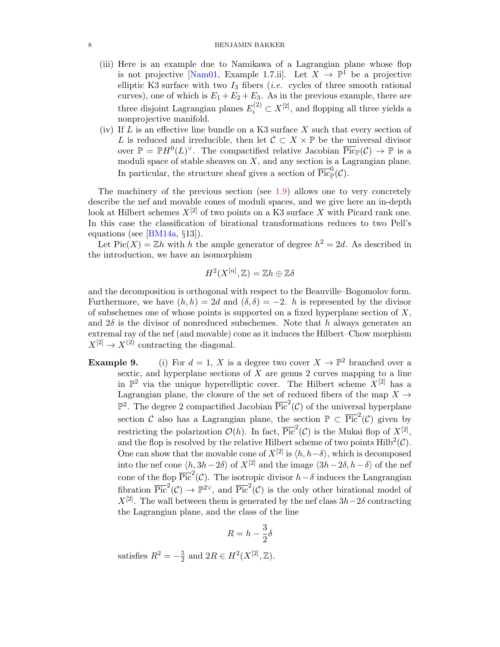#### 8 BENJAMIN BAKKER

- (iii) Here is an example due to Namikawa of a Lagrangian plane whose flop is not projective [\[Nam01,](#page-17-3) Example 1.7.ii]. Let  $X \to \mathbb{P}^1$  be a projective elliptic K3 surface with two  $I_3$  fibers (*i.e.* cycles of three smooth rational curves), one of which is  $E_1 + E_2 + E_3$ . As in the previous example, there are three disjoint Lagrangian planes  $E_i^{(2)} \subset X^{[2]}$ , and flopping all three yields a nonprojective manifold.
- (iv) If  $L$  is an effective line bundle on a K3 surface  $X$  such that every section of L is reduced and irreducible, then let  $\mathcal{C} \subset X \times \mathbb{P}$  be the universal divisor over  $\mathbb{P} = \mathbb{P}H^0(L)^\vee$ . The compactified relative Jacobian  $\overline{\text{Pic}}_{\mathbb{P}}(\mathcal{C}) \to \mathbb{P}$  is a moduli space of stable sheaves on  $X$ , and any section is a Lagrangian plane. In particular, the structure sheaf gives a section of  $\overline{\text{Pic}}_p^0(\mathcal{C})$ .

The machinery of the previous section (see [1.9\)](#page-5-0) allows one to very concretely describe the nef and movable cones of moduli spaces, and we give here an in-depth look at Hilbert schemes  $X^{[2]}$  of two points on a K3 surface X with Picard rank one. In this case the classification of birational transformations reduces to two Pell's equations (see [\[BM14a,](#page-16-0) §13]).

Let  $Pic(X) = \mathbb{Z}h$  with h the ample generator of degree  $h^2 = 2d$ . As described in the introduction, we have an isomorphism

$$
H^2(X^{[n]},\mathbb{Z})=\mathbb{Z}h\oplus\mathbb{Z}\delta
$$

and the decomposition is orthogonal with respect to the Beauville–Bogomolov form. Furthermore, we have  $(h, h) = 2d$  and  $(\delta, \delta) = -2$ . h is represented by the divisor of subschemes one of whose points is supported on a fixed hyperplane section of  $X$ , and  $2\delta$  is the divisor of nonreduced subschemes. Note that h always generates an extremal ray of the nef (and movable) cone as it induces the Hilbert–Chow morphism  $X^{[2]} \to X^{(2)}$  contracting the diagonal.

**Example 9.** (i) For  $d = 1$ , X is a degree two cover  $X \to \mathbb{P}^2$  branched over a sextic, and hyperplane sections of  $X$  are genus 2 curves mapping to a line in  $\mathbb{P}^2$  via the unique hyperelliptic cover. The Hilbert scheme  $X^{[2]}$  has a Lagrangian plane, the closure of the set of reduced fibers of the map  $X \rightarrow$  $\mathbb{P}^2$ . The degree 2 compactified Jacobian  $\overline{\mathrm{Pic}}^2(\mathcal{C})$  of the universal hyperplane section C also has a Lagrangian plane, the section  $\mathbb{P} \subset \overline{\text{Pic}}^2(\mathcal{C})$  given by restricting the polarization  $\mathcal{O}(h)$ . In fact,  $\overline{\text{Pic}}^2(\mathcal{C})$  is the Mukai flop of  $X^{[2]}$ , and the flop is resolved by the relative Hilbert scheme of two points  $\text{Hilb}^2(\mathcal{C})$ . One can show that the movable cone of  $X^{[2]}$  is  $\langle h, h-\delta \rangle$ , which is decomposed into the nef cone  $\langle h, 3h-2\delta \rangle$  of  $X^{[2]}$  and the image  $\langle 3h-2\delta, h-\delta \rangle$  of the nef cone of the flop  $\overline{\mathrm{Pic}}^2(\mathcal{C})$ . The isotropic divisor  $h-\delta$  induces the Langrangian fibration  $\overline{\text{Pic}}^2(\mathcal{C}) \to \mathbb{P}^{2 \vee}$ , and  $\overline{\text{Pic}}^2(\mathcal{C})$  is the only other birational model of  $X^{[2]}$ . The wall between them is generated by the nef class  $3h-2\delta$  contracting the Lagrangian plane, and the class of the line

$$
R = h - \frac{3}{2}\delta
$$

satisfies  $R^2 = -\frac{5}{2}$  $\frac{5}{2}$  and  $2R \in H^2(X^{[2]}, \mathbb{Z})$ .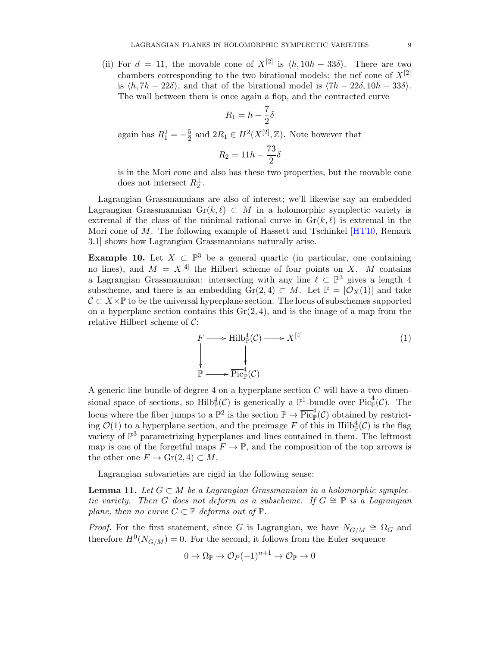(ii) For  $d = 11$ , the movable cone of  $X^{[2]}$  is  $\langle h, 10h - 33\delta \rangle$ . There are two chambers corresponding to the two birational models: the nef cone of  $X^{[2]}$ is  $\langle h, 7h - 22\delta \rangle$ , and that of the birational model is  $\langle 7h - 22\delta, 10h - 33\delta \rangle$ . The wall between them is once again a flop, and the contracted curve

$$
R_1 = h - \frac{7}{2}\delta
$$

again has  $R_1^2 = -\frac{5}{2}$  $\frac{5}{2}$  and  $2R_1 \in H^2(X^{[2]}, \mathbb{Z})$ . Note however that

$$
R_2 = 11h - \frac{73}{2}\delta
$$

is in the Mori cone and also has these two properties, but the movable cone does not intersect  $R_2^{\perp}$ .

Lagrangian Grassmannians are also of interest; we'll likewise say an embedded Lagrangian Grassmannian Gr(k,  $\ell$ ) ⊂ M in a holomorphic symplectic variety is extremal if the class of the minimal rational curve in  $\text{Gr}(k, \ell)$  is extremal in the Mori cone of M. The following example of Hassett and Tschinkel [\[HT10,](#page-17-4) Remark 3.1] shows how Lagrangian Grassmannians naturally arise.

<span id="page-8-1"></span>**Example 10.** Let  $X \subset \mathbb{P}^3$  be a general quartic (in particular, one containing no lines), and  $M = X^{[4]}$  the Hilbert scheme of four points on X. M contains a Lagrangian Grassmannian: intersecting with any line  $\ell \subset \mathbb{P}^3$  gives a length 4 subscheme, and there is an embedding Gr(2, 4)  $\subset M$ . Let  $\mathbb{P} = |\mathcal{O}_X(1)|$  and take  $\mathcal{C} \subset X \times \mathbb{P}$  to be the universal hyperplane section. The locus of subschemes supported on a hyperplane section contains this  $Gr(2, 4)$ , and is the image of a map from the relative Hilbert scheme of  $C$ :

$$
F \longrightarrow \text{Hilb}_{\mathbb{P}}^{4}(\mathcal{C}) \longrightarrow X^{[4]}
$$
\n
$$
\downarrow
$$
\n
$$
\downarrow
$$
\n
$$
\mathbb{P} \longrightarrow \overline{\text{Pic}}_{\mathbb{P}}^{4}(\mathcal{C})
$$
\n
$$
(1)
$$

A generic line bundle of degree 4 on a hyperplane section  $C$  will have a two dimensional space of sections, so  $\text{Hilb}_{\mathbb{P}}^4(\mathcal{C})$  is generically a  $\mathbb{P}^1$ -bundle over  $\overline{\text{Pic}}_{\mathbb{P}}^4(\mathcal{C})$ . The locus where the fiber jumps to a  $\mathbb{P}^2$  is the section  $\mathbb{P} \to \overline{\text{Pic}}_{\mathbb{P}}^4(\mathcal{C})$  obtained by restricting  $\mathcal{O}(1)$  to a hyperplane section, and the preimage F of this in Hilb<sup>4</sup><sub>p</sub> $(\mathcal{C})$  is the flag variety of  $\mathbb{P}^3$  parametrizing hyperplanes and lines contained in them. The leftmost map is one of the forgetful maps  $F \to \mathbb{P}$ , and the composition of the top arrows is the other one  $F \to Gr(2, 4) \subset M$ .

Lagrangian subvarieties are rigid in the following sense:

<span id="page-8-0"></span>**Lemma 11.** Let  $G \subset M$  be a Lagrangian Grassmannian in a holomorphic symplectic variety. Then G does not deform as a subscheme. If  $G \cong \mathbb{P}$  is a Lagrangian plane, then no curve  $C \subset \mathbb{P}$  deforms out of  $\mathbb{P}$ .

*Proof.* For the first statement, since G is Lagrangian, we have  $N_{G/M} \cong \Omega_G$  and therefore  $H^0(N_{G/M}) = 0$ . For the second, it follows from the Euler sequence

$$
0 \to \Omega_{\mathbb{P}} \to \mathcal{O}_P(-1)^{n+1} \to \mathcal{O}_{\mathbb{P}} \to 0
$$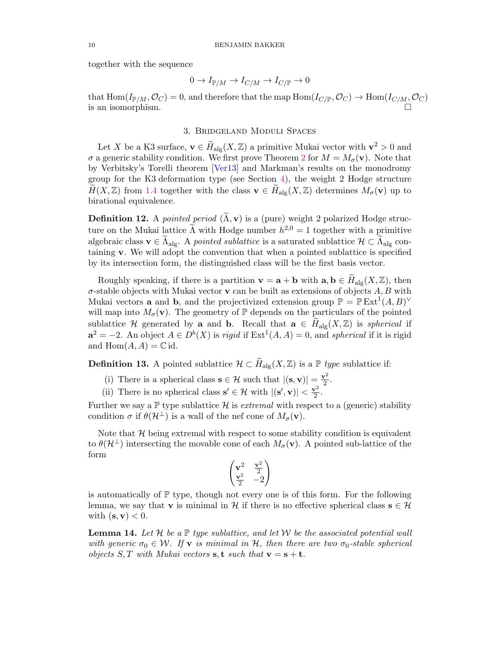together with the sequence

$$
0 \to I_{\mathbb{P}/M} \to I_{C/M} \to I_{C/\mathbb{P}} \to 0
$$

that  $\text{Hom}(I_{\mathbb{P}/M},\mathcal{O}_C)=0$ , and therefore that the map  $\text{Hom}(I_{C/\mathbb{P}},\mathcal{O}_C)\to \text{Hom}(I_{C/M},\mathcal{O}_C)$ is an isomorphism.  $\Box$ 

# 3. Bridgeland Moduli Spaces

<span id="page-9-0"></span>Let X be a K3 surface,  $\mathbf{v} \in \widetilde{H}_{\text{alg}}(X, \mathbb{Z})$  a primitive Mukai vector with  $\mathbf{v}^2 > 0$  and  $\sigma$  a generic stability condition. We first prove Theorem [2](#page-1-1) for  $M = M_{\sigma}(\mathbf{v})$ . Note that by Verbitsky's Torelli theorem [\[Ver13\]](#page-17-16) and Markman's results on the monodromy group for the K3 deformation type (see Section [4\)](#page-13-0), the weight 2 Hodge structure  $H(X,\mathbb{Z})$  from [1.4](#page-4-2) together with the class  $\mathbf{v} \in H_{\text{alg}}(X,\mathbb{Z})$  determines  $M_{\sigma}(\mathbf{v})$  up to birational equivalence.

**Definition 12.** A pointed period  $(\tilde{\Lambda}, \mathbf{v})$  is a (pure) weight 2 polarized Hodge structure on the Mukai lattice  $\widetilde{\Lambda}$  with Hodge number  $h^{2,0} = 1$  together with a primitive algebraic class  $\mathbf{v} \in \widetilde{\Lambda}_{\text{alg}}$ . A pointed sublattice is a saturated sublattice  $\mathcal{H} \subset \widetilde{\Lambda}_{\text{alg}}$  containing v. We will adopt the convention that when a pointed sublattice is specified by its intersection form, the distinguished class will be the first basis vector.

Roughly speaking, if there is a partition  $\mathbf{v} = \mathbf{a} + \mathbf{b}$  with  $\mathbf{a}, \mathbf{b} \in H_{\text{alg}}(X, \mathbb{Z})$ , then  $\sigma$ -stable objects with Mukai vector **v** can be built as extensions of objects  $A, B$  with Mukai vectors **a** and **b**, and the projectivized extension group  $\mathbb{P} = \mathbb{P} \text{Ext}^{1}(A, B)^{\vee}$ will map into  $M_{\sigma}(\mathbf{v})$ . The geometry of  $\mathbb{P}$  depends on the particulars of the pointed sublattice H generated by a and b. Recall that  $a \in H_{\text{alg}}(X,\mathbb{Z})$  is spherical if  $a^2 = -2$ . An object  $A \in D^b(X)$  is *rigid* if  $\text{Ext}^1(A, A) = 0$ , and *spherical* if it is rigid and  $\text{Hom}(A, A) = \mathbb{C}$  id.

<span id="page-9-1"></span>**Definition 13.** A pointed sublattice  $\mathcal{H} \subset \widetilde{H}_{\text{alg}}(X,\mathbb{Z})$  is a  $\mathbb{P}$  type sublattice if:

- (i) There is a spherical class  $\mathbf{s} \in \mathcal{H}$  such that  $|(\mathbf{s}, \mathbf{v})| = \frac{\mathbf{v}^2}{2}$  $\frac{r^2}{2}$ .
- (ii) There is no spherical class  $s' \in \mathcal{H}$  with  $| (s', v) | < \frac{v^2}{2}$  $rac{r^2}{2}$ .

Further we say a  $\mathbb P$  type sublattice  $\mathcal H$  is *extremal* with respect to a (generic) stability condition  $\sigma$  if  $\theta(\mathcal{H}^{\perp})$  is a wall of the nef cone of  $M_{\sigma}(\mathbf{v})$ .

Note that  $\mathcal H$  being extremal with respect to some stability condition is equivalent to  $\theta(\mathcal{H}^{\perp})$  intersecting the movable cone of each  $M_{\sigma}(\mathbf{v})$ . A pointed sub-lattice of the form

$$
\begin{pmatrix} \mathbf{v}^2 & \frac{\mathbf{v}^2}{2} \\ \frac{\mathbf{v}^2}{2} & -2 \end{pmatrix}
$$

is automatically of P type, though not every one is of this form. For the following lemma, we say that **v** is minimal in  $\mathcal{H}$  if there is no effective spherical class  $\mathbf{s} \in \mathcal{H}$ with  $(\mathbf{s}, \mathbf{v}) < 0$ .

<span id="page-9-2"></span>**Lemma 14.** Let H be a  $\mathbb{P}$  type sublattice, and let W be the associated potential wall with generic  $\sigma_0 \in \mathcal{W}$ . If **v** is minimal in H, then there are two  $\sigma_0$ -stable spherical objects S, T with Mukai vectors s, t such that  $\mathbf{v} = \mathbf{s} + \mathbf{t}$ .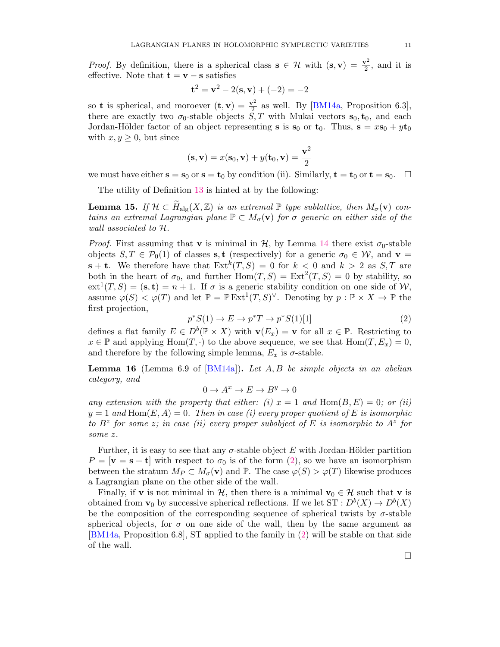*Proof.* By definition, there is a spherical class  $s \in \mathcal{H}$  with  $(s, v) = \frac{v^2}{2}$  $\frac{\gamma^2}{2}$ , and it is effective. Note that  $\mathbf{t} = \mathbf{v} - \mathbf{s}$  satisfies

$$
{\bf t}^2={\bf v}^2-2({\bf s},{\bf v})+(-2)=-2
$$

so **t** is spherical, and moroever  $(t, v) = \frac{v^2}{2}$  $\frac{\gamma^2}{2}$  as well. By [\[BM14a,](#page-16-0) Proposition 6.3], there are exactly two  $\sigma_0$ -stable objects  $S, T$  with Mukai vectors  $s_0, t_0$ , and each Jordan-Hölder factor of an object representing **s** is  $s_0$  or  $t_0$ . Thus,  $s = xs_0 + yt_0$ with  $x, y \geq 0$ , but since

$$
(\mathbf{s}, \mathbf{v}) = x(\mathbf{s}_0, \mathbf{v}) + y(\mathbf{t}_0, \mathbf{v}) = \frac{\mathbf{v}^2}{2}
$$

we must have either  $s = s_0$  or  $s = t_0$  by condition (ii). Similarly,  $t = t_0$  or  $t = s_0$ .  $\Box$ 

The utility of Definition [13](#page-9-1) is hinted at by the following:

<span id="page-10-1"></span>**Lemma 15.** If  $\mathcal{H} \subset \widetilde{H}_{\text{alg}}(X,\mathbb{Z})$  is an extremal  $\mathbb{P}$  type sublattice, then  $M_{\sigma}(\mathbf{v})$  contains an extremal Lagrangian plane  $\mathbb{P} \subset M_{\sigma}(\mathbf{v})$  for  $\sigma$  generic on either side of the wall associated to H.

*Proof.* First assuming that **v** is minimal in  $H$ , by Lemma [14](#page-9-2) there exist  $\sigma_0$ -stable objects  $S, T \in \mathcal{P}_0(1)$  of classes s, t (respectively) for a generic  $\sigma_0 \in \mathcal{W}$ , and  $\mathbf{v} =$  $\mathbf{s} + \mathbf{t}$ . We therefore have that  $\text{Ext}^k(T, S) = 0$  for  $k < 0$  and  $k > 2$  as  $S, T$  are both in the heart of  $\sigma_0$ , and further  $\text{Hom}(T, S) = \text{Ext}^2(T, S) = 0$  by stability, so  $ext^{1}(T, S) = (\mathbf{s}, \mathbf{t}) = n + 1$ . If  $\sigma$  is a generic stability condition on one side of W, assume  $\varphi(S) < \varphi(T)$  and let  $\mathbb{P} = \mathbb{P} \mathop{\mathrm{Ext}}\nolimits^1(T, S)^\vee$ . Denoting by  $p : \mathbb{P} \times X \to \mathbb{P}$  the first projection,

<span id="page-10-0"></span>
$$
p^*S(1) \to E \to p^*T \to p^*S(1)[1]
$$
\n<sup>(2)</sup>

defines a flat family  $E \in D^b(\mathbb{P} \times X)$  with  $\mathbf{v}(E_x) = \mathbf{v}$  for all  $x \in \mathbb{P}$ . Restricting to  $x \in \mathbb{P}$  and applying  $\text{Hom}(T, \cdot)$  to the above sequence, we see that  $\text{Hom}(T, E_x) = 0$ , and therefore by the following simple lemma,  $E_x$  is  $\sigma$ -stable.

<span id="page-10-2"></span>**Lemma 16** (Lemma 6.9 of  $[BM14a]$ ). Let A, B be simple objects in an abelian category, and

$$
0 \to A^x \to E \to B^y \to 0
$$

any extension with the property that either: (i)  $x = 1$  and  $Hom(B, E) = 0$ ; or (ii)  $y = 1$  and  $\text{Hom}(E, A) = 0$ . Then in case (i) every proper quotient of E is isomorphic to  $B^z$  for some z; in case (ii) every proper subobject of E is isomorphic to  $A^z$  for some z.

Further, it is easy to see that any  $\sigma$ -stable object E with Jordan-Hölder partition  $P = [\mathbf{v} = \mathbf{s} + \mathbf{t}]$  with respect to  $\sigma_0$  is of the form [\(2\)](#page-10-0), so we have an isomorphism between the stratum  $M_P \subset M_\sigma(\mathbf{v})$  and  $\mathbb{P}$ . The case  $\varphi(S) > \varphi(T)$  likewise produces a Lagrangian plane on the other side of the wall.

Finally, if **v** is not minimal in  $H$ , then there is a minimal  $\mathbf{v}_0 \in H$  such that **v** is obtained from  $\mathbf{v}_0$  by successive spherical reflections. If we let  $ST: D^b(X) \to D^b(X)$ be the composition of the corresponding sequence of spherical twists by  $\sigma$ -stable spherical objects, for  $\sigma$  on one side of the wall, then by the same argument as [\[BM14a,](#page-16-0) Proposition 6.8], ST applied to the family in [\(2\)](#page-10-0) will be stable on that side of the wall.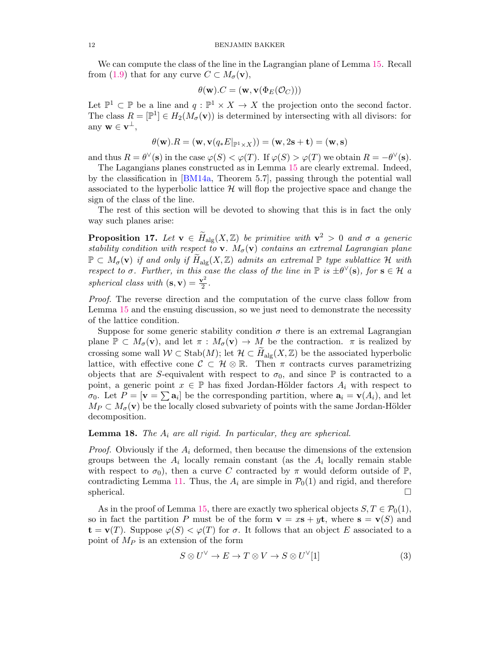We can compute the class of the line in the Lagrangian plane of Lemma [15.](#page-10-1) Recall from [\(1.9\)](#page-5-0) that for any curve  $C \subset M_{\sigma}(\mathbf{v}),$ 

$$
\theta(\mathbf{w}).C = (\mathbf{w}, \mathbf{v}(\Phi_E(\mathcal{O}_C)))
$$

Let  $\mathbb{P}^1 \subset \mathbb{P}$  be a line and  $q : \mathbb{P}^1 \times X \to X$  the projection onto the second factor. The class  $R = [\mathbb{P}^1] \in H_2(M_\sigma(\mathbf{v}))$  is determined by intersecting with all divisors: for any  $\mathbf{w} \in \mathbf{v}^{\perp}$ ,

$$
\theta(\mathbf{w}).R=(\mathbf{w},\mathbf{v}(q_*E|_{\mathbb{P}^1\times X}))=(\mathbf{w},2\mathbf{s}+\mathbf{t})=(\mathbf{w},\mathbf{s})
$$

and thus  $R = \theta^{\vee}(\mathbf{s})$  in the case  $\varphi(S) < \varphi(T)$ . If  $\varphi(S) > \varphi(T)$  we obtain  $R = -\theta^{\vee}(\mathbf{s})$ .

The Lagangians planes constructed as in Lemma [15](#page-10-1) are clearly extremal. Indeed, by the classification in [\[BM14a,](#page-16-0) Theorem 5.7], passing through the potential wall associated to the hyperbolic lattice  $\mathcal{H}$  will flop the projective space and change the sign of the class of the line.

The rest of this section will be devoted to showing that this is in fact the only way such planes arise:

<span id="page-11-1"></span>**Proposition 17.** Let  $\mathbf{v} \in \widetilde{H}_{\text{alg}}(X,\mathbb{Z})$  be primitive with  $\mathbf{v}^2 > 0$  and  $\sigma$  a generic stability condition with respect to **v**.  $M_{\sigma}(\mathbf{v})$  contains an extremal Lagrangian plane  $\mathbb{P} \subset M_{\sigma}(\mathbf{v})$  if and only if  $H_{\text{alg}}(X,\mathbb{Z})$  admits an extremal  $\mathbb{P}$  type sublattice  $\mathcal{H}$  with respect to  $\sigma$ . Further, in this case the class of the line in  $\mathbb P$  is  $\pm\theta^\vee(\mathbf s)$ , for  $\mathbf s\in\mathcal H$  a spherical class with  $(\mathbf{s}, \mathbf{v}) = \frac{\mathbf{v}^2}{2}$  $rac{r^2}{2}$ .

Proof. The reverse direction and the computation of the curve class follow from Lemma [15](#page-10-1) and the ensuing discussion, so we just need to demonstrate the necessity of the lattice condition.

Suppose for some generic stability condition  $\sigma$  there is an extremal Lagrangian plane  $\mathbb{P} \subset M_{\sigma}(\mathbf{v})$ , and let  $\pi : M_{\sigma}(\mathbf{v}) \to M$  be the contraction.  $\pi$  is realized by crossing some wall  $W \subset \text{Stab}(M)$ ; let  $\mathcal{H} \subset \widetilde{H}_{\text{alg}}(X,\mathbb{Z})$  be the associated hyperbolic lattice, with effective cone  $\mathcal{C} \subset \mathcal{H} \otimes \mathbb{R}$ . Then  $\pi$  contracts curves parametrizing objects that are S-equivalent with respect to  $\sigma_0$ , and since  $\mathbb P$  is contracted to a point, a generic point  $x \in \mathbb{P}$  has fixed Jordan-Hölder factors  $A_i$  with respect to  $\sigma_0$ . Let  $P = [\mathbf{v} = \sum \mathbf{a}_i]$  be the corresponding partition, where  $\mathbf{a}_i = \mathbf{v}(A_i)$ , and let  $M_P \subset M_{\sigma}({\bf v})$  be the locally closed subvariety of points with the same Jordan-Hölder decomposition.

**Lemma 18.** The  $A_i$  are all rigid. In particular, they are spherical.

*Proof.* Obviously if the  $A_i$  deformed, then because the dimensions of the extension groups between the  $A_i$  locally remain constant (as the  $A_i$  locally remain stable with respect to  $\sigma_0$ ), then a curve C contracted by  $\pi$  would deform outside of  $\mathbb{P}$ , contradicting Lemma [11.](#page-8-0) Thus, the  $A_i$  are simple in  $\mathcal{P}_0(1)$  and rigid, and therefore  $\Box$  spherical.

As in the proof of Lemma [15,](#page-10-1) there are exactly two spherical objects  $S, T \in \mathcal{P}_0(1)$ , so in fact the partition P must be of the form  $\mathbf{v} = x\mathbf{s} + y\mathbf{t}$ , where  $\mathbf{s} = \mathbf{v}(S)$  and  $\mathbf{t} = \mathbf{v}(T)$ . Suppose  $\varphi(S) < \varphi(T)$  for  $\sigma$ . It follows that an object E associated to a point of  $M_P$  is an extension of the form

<span id="page-11-0"></span>
$$
S \otimes U^{\vee} \to E \to T \otimes V \to S \otimes U^{\vee}[1]
$$
 (3)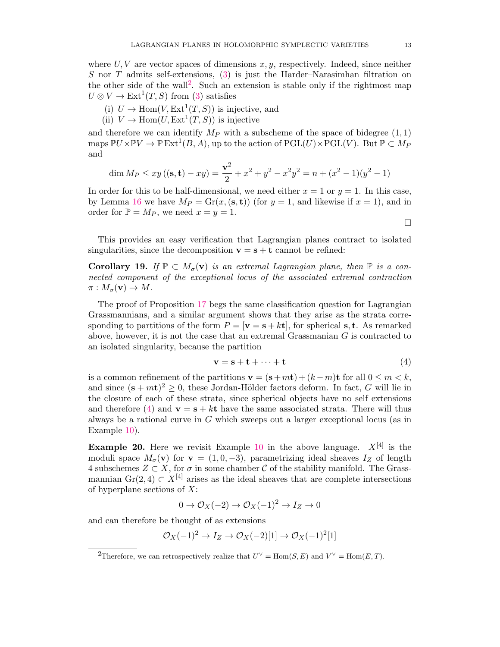where  $U, V$  are vector spaces of dimensions  $x, y$ , respectively. Indeed, since neither S nor T admits self-extensions,  $(3)$  is just the Harder–Narasimhan filtration on the other side of the wall<sup>[2](#page-12-0)</sup>. Such an extension is stable only if the rightmost map  $U \otimes V \to \text{Ext}^1(T, S)$  from [\(3\)](#page-11-0) satisfies

- (i)  $U \to \text{Hom}(V, \text{Ext}^1(T, S))$  is injective, and
- (ii)  $V \to \text{Hom}(U, \text{Ext}^1(T, S))$  is injective

and therefore we can identify  $M_P$  with a subscheme of the space of bidegree  $(1, 1)$  $\text{maps } \mathbb{P} U \times \mathbb{P} V \to \mathbb{P} \operatorname{Ext}^1(B,A), \text{ up to the action of } \operatorname{PGL}(U) \times \operatorname{PGL}(V). \text{ But } \mathbb{P} \subset M_P$ and

$$
\dim M_P \le xy ((\mathbf{s}, \mathbf{t}) - xy) = \frac{\mathbf{v}^2}{2} + x^2 + y^2 - x^2y^2 = n + (x^2 - 1)(y^2 - 1)
$$

In order for this to be half-dimensional, we need either  $x = 1$  or  $y = 1$ . In this case, by Lemma [16](#page-10-2) we have  $M_P = \text{Gr}(x, (\mathbf{s}, \mathbf{t}))$  (for  $y = 1$ , and likewise if  $x = 1$ ), and in order for  $\mathbb{P} = M_P$ , we need  $x = y = 1$ .

 $\Box$ 

This provides an easy verification that Lagrangian planes contract to isolated singularities, since the decomposition  $\mathbf{v} = \mathbf{s} + \mathbf{t}$  cannot be refined:

**Corollary 19.** If  $\mathbb{P} \subset M_{\sigma}(\mathbf{v})$  is an extremal Lagrangian plane, then  $\mathbb{P}$  is a connected component of the exceptional locus of the associated extremal contraction  $\pi : M_{\sigma}(\mathbf{v}) \to M$ .

The proof of Proposition [17](#page-11-1) begs the same classification question for Lagrangian Grassmannians, and a similar argument shows that they arise as the strata corresponding to partitions of the form  $P = [\mathbf{v} = \mathbf{s} + k\mathbf{t}]$ , for spherical s, t. As remarked above, however, it is not the case that an extremal Grassmanian  $G$  is contracted to an isolated singularity, because the partition

<span id="page-12-1"></span>
$$
\mathbf{v} = \mathbf{s} + \mathbf{t} + \dots + \mathbf{t} \tag{4}
$$

is a common refinement of the partitions  $\mathbf{v} = (\mathbf{s} + m\mathbf{t}) + (k - m)\mathbf{t}$  for all  $0 \le m < k$ , and since  $(s + m t)^2 \geq 0$ , these Jordan-Hölder factors deform. In fact, G will lie in the closure of each of these strata, since spherical objects have no self extensions and therefore [\(4\)](#page-12-1) and  $\mathbf{v} = \mathbf{s} + k\mathbf{t}$  have the same associated strata. There will thus always be a rational curve in G which sweeps out a larger exceptional locus (as in Example [10\)](#page-8-1).

<span id="page-12-2"></span>**Example 20.** Here we revisit Example [10](#page-8-1) in the above language.  $X^{[4]}$  is the moduli space  $M_{\sigma}(\mathbf{v})$  for  $\mathbf{v} = (1, 0, -3)$ , parametrizing ideal sheaves  $I_Z$  of length 4 subschemes  $Z \subset X$ , for  $\sigma$  in some chamber C of the stability manifold. The Grassmannian Gr(2, 4) ⊂  $X^{[4]}$  arises as the ideal sheaves that are complete intersections of hyperplane sections of  $X$ :

 $0 \to \mathcal{O}_X(-2) \to \mathcal{O}_X(-1)^2 \to I_Z \to 0$ 

and can therefore be thought of as extensions

$$
\mathcal{O}_X(-1)^2 \to I_Z \to \mathcal{O}_X(-2)[1] \to \mathcal{O}_X(-1)^2[1]
$$

<span id="page-12-0"></span><sup>&</sup>lt;sup>2</sup>Therefore, we can retrospectively realize that  $U^{\vee} = \text{Hom}(S, E)$  and  $V^{\vee} = \text{Hom}(E, T)$ .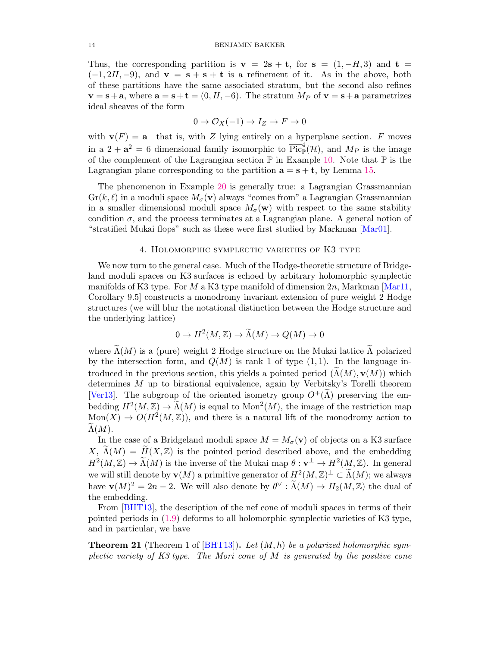Thus, the corresponding partition is  $\mathbf{v} = 2\mathbf{s} + \mathbf{t}$ , for  $\mathbf{s} = (1, -H, 3)$  and  $\mathbf{t} =$  $(-1, 2H, -9)$ , and  $\mathbf{v} = \mathbf{s} + \mathbf{s} + \mathbf{t}$  is a refinement of it. As in the above, both of these partitions have the same associated stratum, but the second also refines  $\mathbf{v} = \mathbf{s} + \mathbf{a}$ , where  $\mathbf{a} = \mathbf{s} + \mathbf{t} = (0, H, -6)$ . The stratum  $M_P$  of  $\mathbf{v} = \mathbf{s} + \mathbf{a}$  parametrizes ideal sheaves of the form

$$
0 \to \mathcal{O}_X(-1) \to I_Z \to F \to 0
$$

with  $\mathbf{v}(F) = \mathbf{a}$ —that is, with Z lying entirely on a hyperplane section. F moves in a  $2 + a^2 = 6$  dimensional family isomorphic to  $\overline{Pic}^4_{\mathbb{P}}(\mathcal{H})$ , and  $M_P$  is the image of the complement of the Lagrangian section  $\mathbb P$  in Example [10.](#page-8-1) Note that  $\mathbb P$  is the Lagrangian plane corresponding to the partition  $\mathbf{a} = \mathbf{s} + \mathbf{t}$ , by Lemma [15.](#page-10-1)

The phenomenon in Example [20](#page-12-2) is generally true: a Lagrangian Grassmannian  $\text{Gr}(k, \ell)$  in a moduli space  $M_{\sigma}(\mathbf{v})$  always "comes from" a Lagrangian Grassmannian in a smaller dimensional moduli space  $M_{\sigma}(\mathbf{w})$  with respect to the same stability condition  $\sigma$ , and the process terminates at a Lagrangian plane. A general notion of "stratified Mukai flops" such as these were first studied by Markman [\[Mar01\]](#page-17-17).

#### 4. Holomorphic symplectic varieties of K3 type

<span id="page-13-0"></span>We now turn to the general case. Much of the Hodge-theoretic structure of Bridgeland moduli spaces on K3 surfaces is echoed by arbitrary holomorphic symplectic manifolds of K3 type. For M a K3 type manifold of dimension  $2n$ , Markman [\[Mar11,](#page-17-18) Corollary 9.5] constructs a monodromy invariant extension of pure weight 2 Hodge structures (we will blur the notational distinction between the Hodge structure and the underlying lattice)

$$
0 \to H^2(M, \mathbb{Z}) \to \widetilde{\Lambda}(M) \to Q(M) \to 0
$$

where  $\widetilde{\Lambda}(M)$  is a (pure) weight 2 Hodge structure on the Mukai lattice  $\widetilde{\Lambda}$  polarized by the intersection form, and  $Q(M)$  is rank 1 of type  $(1, 1)$ . In the language introduced in the previous section, this yields a pointed period  $(\Lambda(M), \mathbf{v}(M))$  which determines M up to birational equivalence, again by Verbitsky's Torelli theorem [\[Ver13\]](#page-17-16). The subgroup of the oriented isometry group  $O^+(\Lambda)$  preserving the embedding  $H^2(M, \mathbb{Z}) \to \widetilde{\Lambda}(M)$  is equal to  $\text{Mon}^2(M)$ , the image of the restriction map  $Mon(X) \to O(H^2(M,\mathbb{Z}))$ , and there is a natural lift of the monodromy action to  $\Lambda(M)$ .

In the case of a Bridgeland moduli space  $M = M_{\sigma}(\mathbf{v})$  of objects on a K3 surface  $X, \widetilde{\Lambda}(M) = \widetilde{H}(X, \mathbb{Z})$  is the pointed period described above, and the embedding  $H^2(M,\mathbb{Z}) \to \widetilde{\Lambda}(M)$  is the inverse of the Mukai map  $\theta : \mathbf{v}^{\perp} \to H^2(M,\mathbb{Z})$ . In general we will still denote by  $\mathbf{v}(M)$  a primitive generator of  $H^2(M,\mathbb{Z})^{\perp} \subset \widetilde{\Lambda}(M)$ ; we always have  $\mathbf{v}(M)^2 = 2n - 2$ . We will also denote by  $\theta^\vee : \widetilde{\Lambda}(M) \to H_2(M, \mathbb{Z})$  the dual of the embedding.

From [\[BHT13\]](#page-16-1), the description of the nef cone of moduli spaces in terms of their pointed periods in [\(1.9\)](#page-5-0) deforms to all holomorphic symplectic varieties of K3 type, and in particular, we have

<span id="page-13-1"></span>**Theorem 21** (Theorem 1 of [\[BHT13\]](#page-16-1)). Let  $(M, h)$  be a polarized holomorphic symplectic variety of K3 type. The Mori cone of M is generated by the positive cone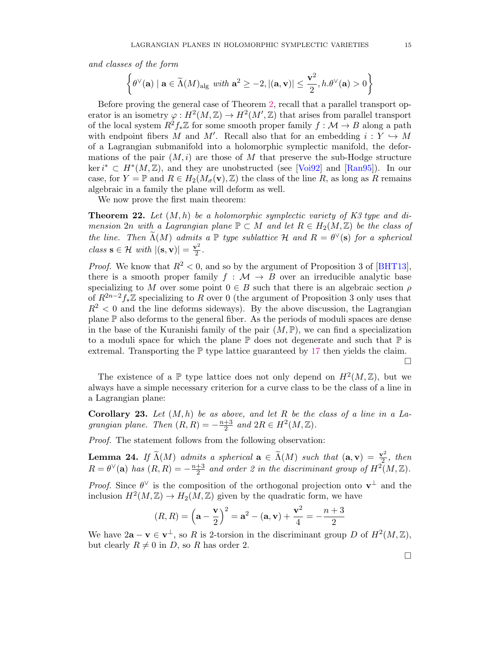and classes of the form

$$
\left\{ \theta^{\vee}(\mathbf{a}) \mid \mathbf{a} \in \widetilde{\Lambda}(M)_{\mathrm{alg}} \text{ with } \mathbf{a}^2 \geq -2, |(\mathbf{a}, \mathbf{v})| \leq \frac{\mathbf{v}^2}{2}, h.\theta^{\vee}(\mathbf{a}) > 0 \right\}
$$

Before proving the general case of Theorem [2,](#page-1-1) recall that a parallel transport operator is an isometry  $\varphi: H^2(M, \mathbb{Z}) \to H^2(M', \mathbb{Z})$  that arises from parallel transport of the local system  $R^2f_*\mathbb{Z}$  for some smooth proper family  $f : \mathcal{M} \to B$  along a path with endpoint fibers M and M'. Recall also that for an embedding  $i: Y \hookrightarrow M$ of a Lagrangian submanifold into a holomorphic symplectic manifold, the deformations of the pair  $(M, i)$  are those of M that preserve the sub-Hodge structure ker  $i^* \,\subset H^*(M, \mathbb{Z})$ , and they are unobstructed (see [\[Voi92\]](#page-17-19) and [\[Ran95\]](#page-17-20)). In our case, for  $Y = \mathbb{P}$  and  $R \in H_2(M_\sigma(\mathbf{v}), \mathbb{Z})$  the class of the line R, as long as R remains algebraic in a family the plane will deform as well.

We now prove the first main theorem:

<span id="page-14-0"></span>**Theorem 22.** Let  $(M, h)$  be a holomorphic symplectic variety of K3 type and dimension 2n with a Lagrangian plane  $\mathbb{P} \subset M$  and let  $R \in H_2(M, \mathbb{Z})$  be the class of the line. Then  $\widetilde{\Lambda}(M)$  admits a  $\mathbb P$  type sublattice  $\mathcal H$  and  $R = \theta^{\vee}(\mathbf s)$  for a spherical class  $\mathbf{s} \in \mathcal{H}$  with  $|(\mathbf{s}, \mathbf{v})| = \frac{\mathbf{v}^2}{2}$  $\frac{r^2}{2}$ .

*Proof.* We know that  $R^2 < 0$ , and so by the argument of Proposition 3 of [\[BHT13\]](#page-16-1). there is a smooth proper family  $f : \mathcal{M} \to B$  over an irreducible analytic base specializing to M over some point  $0 \in B$  such that there is an algebraic section  $\rho$ of  $R^{2n-2}f_*\mathbb{Z}$  specializing to R over 0 (the argument of Proposition 3 only uses that  $R^2$  < 0 and the line deforms sideways). By the above discussion, the Lagrangian plane P also deforms to the general fiber. As the periods of moduli spaces are dense in the base of the Kuranishi family of the pair  $(M,\mathbb{P})$ , we can find a specialization to a moduli space for which the plane  $\mathbb P$  does not degenerate and such that  $\mathbb P$  is extremal. Transporting the  $\mathbb P$  type lattice guaranteed by [17](#page-11-1) then yields the claim.

The existence of a  $\mathbb P$  type lattice does not only depend on  $H^2(M,\mathbb Z)$ , but we always have a simple necessary criterion for a curve class to be the class of a line in a Lagrangian plane:

<span id="page-14-1"></span>**Corollary 23.** Let  $(M, h)$  be as above, and let R be the class of a line in a Lagrangian plane. Then  $(R, R) = -\frac{n+3}{2}$  $\frac{+3}{2}$  and  $2R \in H^2(M, \mathbb{Z})$ .

Proof. The statement follows from the following observation:

**Lemma 24.** If  $\widetilde{\Lambda}(M)$  admits a spherical  $\mathbf{a} \in \widetilde{\Lambda}(M)$  such that  $(\mathbf{a}, \mathbf{v}) = \frac{\mathbf{v}^2}{2}$  $\frac{r^2}{2}$ , then  $R = \theta^{\vee}(\mathbf{a})$  has  $(R, R) = -\frac{n+3}{2}$  $\frac{+3}{2}$  and order 2 in the discriminant group of  $H^2(M,\mathbb{Z})$ .

*Proof.* Since  $\theta^{\vee}$  is the composition of the orthogonal projection onto  $\mathbf{v}^{\perp}$  and the inclusion  $H^2(M, \mathbb{Z}) \to H_2(M, \mathbb{Z})$  given by the quadratic form, we have

$$
(R, R) = (\mathbf{a} - \frac{\mathbf{v}}{2})^2 = \mathbf{a}^2 - (\mathbf{a}, \mathbf{v}) + \frac{\mathbf{v}^2}{4} = -\frac{n+3}{2}
$$

We have  $2\mathbf{a} - \mathbf{v} \in \mathbf{v}^{\perp}$ , so R is 2-torsion in the discriminant group D of  $H^2(M, \mathbb{Z})$ , but clearly  $R \neq 0$  in D, so R has order 2.

 $\Box$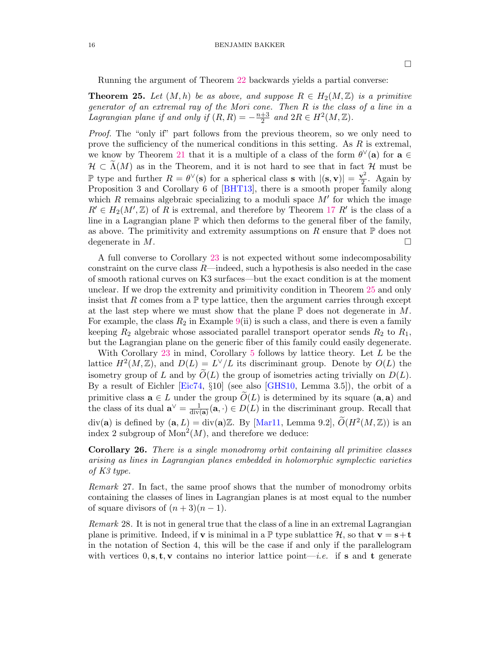Running the argument of Theorem [22](#page-14-0) backwards yields a partial converse:

<span id="page-15-1"></span>**Theorem 25.** Let  $(M, h)$  be as above, and suppose  $R \in H_2(M, \mathbb{Z})$  is a primitive generator of an extremal ray of the Mori cone. Then R is the class of a line in a Lagrangian plane if and only if  $(R, R) = -\frac{n+3}{2}$  $\frac{+3}{2}$  and  $2R \in H^2(M, \mathbb{Z})$ .

Proof. The "only if" part follows from the previous theorem, so we only need to prove the sufficiency of the numerical conditions in this setting. As R is extremal, we know by Theorem [21](#page-13-1) that it is a multiple of a class of the form  $\theta^{\vee}(\mathbf{a})$  for  $\mathbf{a} \in \mathbb{R}$  $\mathcal{H} \subset \Lambda(M)$  as in the Theorem, and it is not hard to see that in fact  $\mathcal{H}$  must be P type and further  $R = \theta^{\vee}(\mathbf{s})$  for a spherical class **s** with  $|(\mathbf{s}, \mathbf{v})| = \frac{\mathbf{v}^2}{2}$  $\frac{\gamma^2}{2}$ . Again by Proposition 3 and Corollary 6 of [\[BHT13\]](#page-16-1), there is a smooth proper family along which  $R$  remains algebraic specializing to a moduli space  $M'$  for which the image  $R' \in H_2(M',\mathbb{Z})$  of R is extremal, and therefore by Theorem [17](#page-11-1) R' is the class of a line in a Lagrangian plane  $\mathbb P$  which then deforms to the general fiber of the family, as above. The primitivity and extremity assumptions on R ensure that  $\mathbb P$  does not degenerate in  $M$ .

A full converse to Corollary [23](#page-14-1) is not expected without some indecomposability constraint on the curve class  $R$ —indeed, such a hypothesis is also needed in the case of smooth rational curves on K3 surfaces—but the exact condition is at the moment unclear. If we drop the extremity and primitivity condition in Theorem [25](#page-15-1) and only insist that R comes from a  $\mathbb P$  type lattice, then the argument carries through except at the last step where we must show that the plane  $\mathbb P$  does not degenerate in  $M$ . For example, the class  $R_2$  in Example [9\(](#page-0-0)ii) is such a class, and there is even a family keeping  $R_2$  algebraic whose associated parallel transport operator sends  $R_2$  to  $R_1$ , but the Lagrangian plane on the generic fiber of this family could easily degenerate.

With Corollary [23](#page-14-1) in mind, Corollary [5](#page-2-0) follows by lattice theory. Let  $L$  be the lattice  $H^2(M, \mathbb{Z})$ , and  $D(L) = L^{\vee}/L$  its discriminant group. Denote by  $O(L)$  the isometry group of L and by  $\tilde{O}(L)$  the group of isometries acting trivially on  $D(L)$ . By a result of Eichler [\[Eic74,](#page-16-9) §10] (see also [\[GHS10,](#page-17-21) Lemma 3.5]), the orbit of a primitive class  $\mathbf{a} \in L$  under the group  $O(L)$  is determined by its square  $(\mathbf{a}, \mathbf{a})$  and the class of its dual  $\mathbf{a}^{\vee} = \frac{1}{\text{div}}$  $\frac{1}{\text{div}(\mathbf{a})}(\mathbf{a},\cdot) \in D(L)$  in the discriminant group. Recall that div(a) is defined by  $(a, L) = \text{div}(a)\mathbb{Z}$ . By [\[Mar11,](#page-17-18) Lemma 9.2],  $\widetilde{O}(H^2(M, \mathbb{Z}))$  is an index 2 subgroup of  $Mon<sup>2</sup>(M)$ , and therefore we deduce:

<span id="page-15-2"></span>Corollary 26. There is a single monodromy orbit containing all primitive classes arising as lines in Lagrangian planes embedded in holomorphic symplectic varieties of K3 type.

Remark 27. In fact, the same proof shows that the number of monodromy orbits containing the classes of lines in Lagrangian planes is at most equal to the number of square divisors of  $(n+3)(n-1)$ .

<span id="page-15-0"></span>Remark 28. It is not in general true that the class of a line in an extremal Lagrangian plane is primitive. Indeed, if **v** is minimal in a  $\mathbb{P}$  type sublattice H, so that  $\mathbf{v} = \mathbf{s} + \mathbf{t}$ in the notation of Section 4, this will be the case if and only if the parallelogram with vertices  $0, s, t, v$  contains no interior lattice point—*i.e.* if s and t generate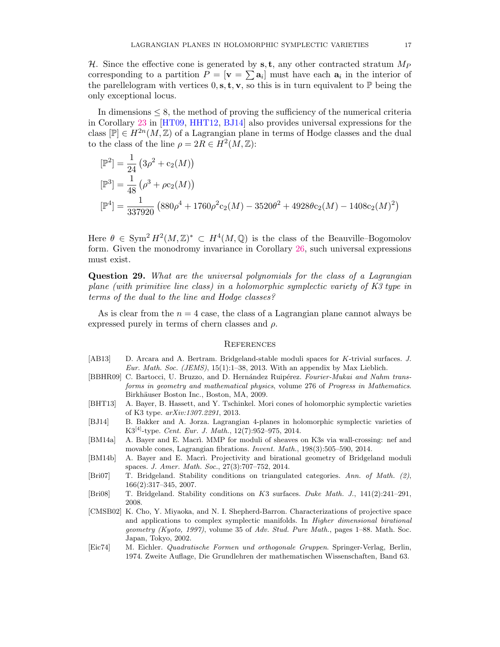H. Since the effective cone is generated by  $s, t$ , any other contracted stratum  $M_P$ corresponding to a partition  $P = [\mathbf{v} = \sum \mathbf{a}_i]$  must have each  $\mathbf{a}_i$  in the interior of the parellelogram with vertices  $0, s, t, v$ , so this is in turn equivalent to  $\mathbb{P}$  being the only exceptional locus.

In dimensions  $\leq$  8, the method of proving the sufficiency of the numerical criteria in Corollary [23](#page-14-1) in [\[HT09,](#page-17-1) [HHT12,](#page-17-7) [BJ14\]](#page-16-3) also provides universal expressions for the class  $[\mathbb{P}] \in H^{2n}(M, \mathbb{Z})$  of a Lagrangian plane in terms of Hodge classes and the dual to the class of the line  $\rho = 2R \in H^2(M, \mathbb{Z})$ :

$$
\begin{aligned} [\mathbb{P}^2] &= \frac{1}{24} \left( 3\rho^2 + \mathbf{c}_2(M) \right) \\ [\mathbb{P}^3] &= \frac{1}{48} \left( \rho^3 + \rho \mathbf{c}_2(M) \right) \\ [\mathbb{P}^4] &= \frac{1}{337920} \left( 880\rho^4 + 1760\rho^2 \mathbf{c}_2(M) - 3520\theta^2 + 4928\theta \mathbf{c}_2(M) - 1408\mathbf{c}_2(M)^2 \right) \end{aligned}
$$

Here  $\theta \in \text{Sym}^2 H^2(M,\mathbb{Z})^* \subset H^4(M,\mathbb{Q})$  is the class of the Beauville–Bogomolov form. Given the monodromy invariance in Corollary [26,](#page-15-2) such universal expressions must exist.

Question 29. What are the universal polynomials for the class of a Lagrangian plane (with primitive line class) in a holomorphic symplectic variety of K3 type in terms of the dual to the line and Hodge classes?

As is clear from the  $n = 4$  case, the class of a Lagrangian plane cannot always be expressed purely in terms of chern classes and  $\rho$ .

#### **REFERENCES**

- <span id="page-16-8"></span>[AB13] D. Arcara and A. Bertram. Bridgeland-stable moduli spaces for K-trivial surfaces. J. Eur. Math. Soc. (JEMS),  $15(1):1-38$ , 2013. With an appendix by Max Lieblich.
- <span id="page-16-5"></span>[BBHR09] C. Bartocci, U. Bruzzo, and D. Hernández Ruipérez. Fourier-Mukai and Nahm transforms in geometry and mathematical physics, volume 276 of Progress in Mathematics. Birkhäuser Boston Inc., Boston, MA, 2009.
- <span id="page-16-1"></span>[BHT13] A. Bayer, B. Hassett, and Y. Tschinkel. Mori cones of holomorphic symplectic varieties of K3 type. arXiv:1307.2291, 2013.
- <span id="page-16-3"></span>[BJ14] B. Bakker and A. Jorza. Lagrangian 4-planes in holomorphic symplectic varieties of K3<sup>[4]</sup>-type. Cent. Eur. J. Math., 12(7):952–975, 2014.
- <span id="page-16-0"></span>[BM14a] A. Bayer and E. Macri. MMP for moduli of sheaves on K3s via wall-crossing: nef and movable cones, Lagrangian fibrations. Invent. Math., 198(3):505–590, 2014.
- <span id="page-16-6"></span>[BM14b] A. Bayer and E. Macri. Projectivity and birational geometry of Bridgeland moduli spaces. J. Amer. Math. Soc., 27(3):707–752, 2014.
- <span id="page-16-7"></span>[Bri07] T. Bridgeland. Stability conditions on triangulated categories. Ann. of Math. (2), 166(2):317–345, 2007.
- <span id="page-16-4"></span>[Bri08] T. Bridgeland. Stability conditions on K3 surfaces. Duke Math. J., 141(2):241–291, 2008.
- <span id="page-16-2"></span>[CMSB02] K. Cho, Y. Miyaoka, and N. I. Shepherd-Barron. Characterizations of projective space and applications to complex symplectic manifolds. In Higher dimensional birational geometry (Kyoto, 1997), volume 35 of Adv. Stud. Pure Math., pages 1–88. Math. Soc. Japan, Tokyo, 2002.
- <span id="page-16-9"></span>[Eic74] M. Eichler. Quadratische Formen und orthogonale Gruppen. Springer-Verlag, Berlin, 1974. Zweite Auflage, Die Grundlehren der mathematischen Wissenschaften, Band 63.